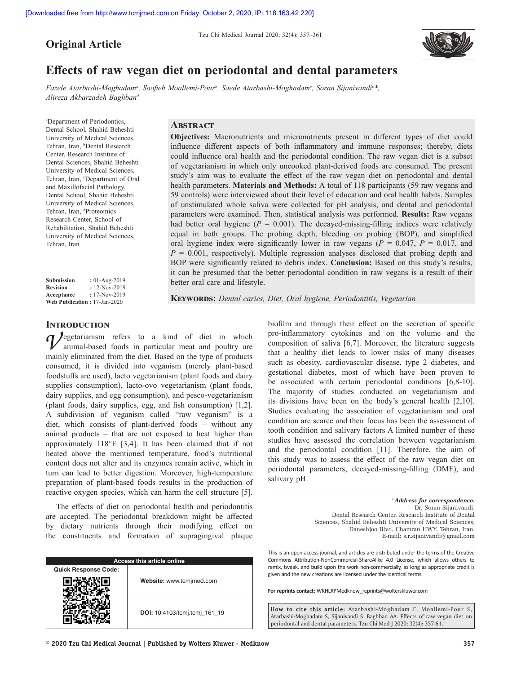**Original Article**

Tzu Chi Medical Journal 2020; 32(4): 357–361



# **Effects of raw vegan diet on periodontal and dental parameters**

*Fazele Atarbashi‑Moghadama , Soofieh Moallemi‑Pour<sup>b</sup> , Saede Atarbashi‑Moghadamc , Soran Sijanivandib \*, Alireza Akbarzadeh Baghband*

a Department of Periodontics, Dental School, Shahid Beheshti University of Medical Sciences, Tehran, Iran, <sup>b</sup>Dental Research Center, Research Institute of Dental Sciences, Shahid Beheshti University of Medical Sciences, Tehran, Iran, <sup>c</sup>Department of Oral and Maxillofacial Pathology, Dental School, Shahid Beheshti University of Medical Sciences, Tehran, Iran, dProteomics Research Center, School of Rehabilitation, Shahid Beheshti University of Medical Sciences, Tehran, Iran

**Submission :** 01-Aug-2019 **Revision :** 12-Nov-2019 **Acceptance :** 17-Nov-2019 **Web Publication :** 17-Jan-2020

# **Abstract**

**Objectives:** Macronutrients and micronutrients present in different types of diet could influence different aspects of both inflammatory and immune responses; thereby, diets could influence oral health and the periodontal condition. The raw vegan diet is a subset of vegetarianism in which only uncooked plant-derived foods are consumed. The present study's aim was to evaluate the effect of the raw vegan diet on periodontal and dental health parameters. **Materials and Methods:** A total of 118 participants (59 raw vegans and 59 controls) were interviewed about their level of education and oral health habits. Samples of unstimulated whole saliva were collected for pH analysis, and dental and periodontal parameters were examined. Then, statistical analysis was performed. **Results:** Raw vegans had better oral hygiene ( $P = 0.001$ ). The decayed-missing-filling indices were relatively equal in both groups. The probing depth, bleeding on probing (BOP), and simplified oral hygiene index were significantly lower in raw vegans ( $P = 0.047$ ,  $P = 0.017$ , and *P* = 0.001, respectively). Multiple regression analyses disclosed that probing depth and BOP were significantly related to debris index. **Conclusion:** Based on this study's results, it can be presumed that the better periodontal condition in raw vegans is a result of their better oral care and lifestyle.

**Keywords:** *Dental caries, Diet, Oral hygiene, Periodontitis, Vegetarian*

# **INTRODUCTION**

*d* legetarianism refers to a kind of diet in which animal-based foods in particular meat and poultry are mainly eliminated from the diet. Based on the type of products consumed, it is divided into veganism (merely plant-based foodstuffs are used), lacto vegetarianism (plant foods and dairy supplies consumption), lacto-ovo vegetarianism (plant foods, dairy supplies, and egg consumption), and pesco-vegetarianism (plant foods, dairy supplies, egg, and fish consumption) [1,2]. A subdivision of veganism called "raw veganism" is a diet, which consists of plant-derived foods – without any animal products – that are not exposed to heat higher than approximately 118°F [3,4]. It has been claimed that if not heated above the mentioned temperature, food's nutritional content does not alter and its enzymes remain active, which in turn can lead to better digestion. Moreover, high-temperature preparation of plant-based foods results in the production of reactive oxygen species, which can harm the cell structure [5].

The effects of diet on periodontal health and periodontitis are accepted. The periodontal breakdown might be affected by dietary nutrients through their modifying effect on the constituents and formation of supragingival plaque

| <b>Access this article online</b> |                               |  |
|-----------------------------------|-------------------------------|--|
| <b>Quick Response Code:</b>       |                               |  |
|                                   | Website: www.tcmjmed.com      |  |
|                                   | DOI: 10.4103/tcmj.tcmj 161 19 |  |

biofilm and through their effect on the secretion of specific pro‑inflammatory cytokines and on the volume and the composition of saliva [6,7]. Moreover, the literature suggests that a healthy diet leads to lower risks of many diseases such as obesity, cardiovascular disease, type 2 diabetes, and gestational diabetes, most of which have been proven to be associated with certain periodontal conditions [6,8-10]. The majority of studies conducted on vegetarianism and its divisions have been on the body's general health [2,10]. Studies evaluating the association of vegetarianism and oral condition are scarce and their focus has been the assessment of tooth condition and salivary factors A limited number of these studies have assessed the correlation between vegetarianism and the periodontal condition [11]. Therefore, the aim of this study was to assess the effect of the raw vegan diet on periodontal parameters, decayed‑missing‑filling (DMF), and salivary pH.

> \**Address for correspondence:* Dr. Soran Sijanivandi, Dental Research Center, Research Institute of Dental Sciences, Shahid Beheshti University of Medical Sciences, Daneshjoo Blvd, Chamran HWY, Tehran, Iran. E‑mail: s.r.sijanivandi@gmail.com

This is an open access journal, and articles are distributed under the terms of the Creative Commons Attribution‑NonCommercial‑ShareAlike 4.0 License, which allows others to remix, tweak, and build upon the work non‑commercially, as long as appropriate credit is given and the new creations are licensed under the identical terms.

**For reprints contact:** WKHLRPMedknow\_reprints@wolterskluwer.com

**How to cite this article:** Atarbashi‑Moghadam F, Moallemi‑Pour S, Atarbashi‑Moghadam S, Sijanivandi S, Baghban AA. Effects of raw vegan diet on periodontal and dental parameters. Tzu Chi Med J 2020; 32(4): 357-61.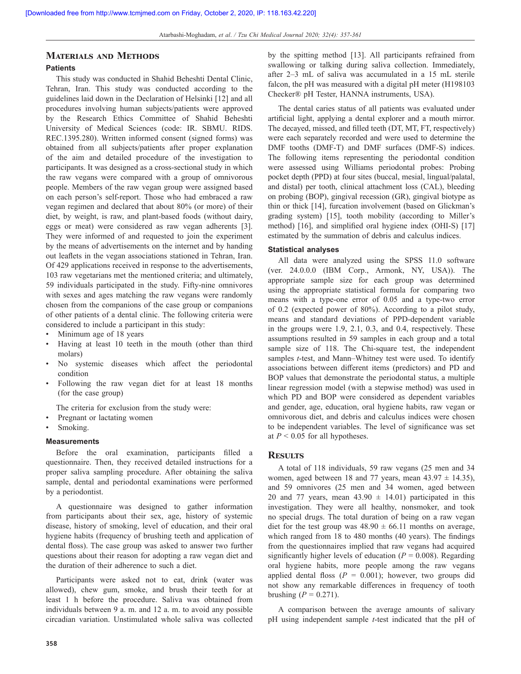# **Materials and Methods**

# **Patients**

This study was conducted in Shahid Beheshti Dental Clinic, Tehran, Iran. This study was conducted according to the guidelines laid down in the Declaration of Helsinki [12] and all procedures involving human subjects/patients were approved by the Research Ethics Committee of Shahid Beheshti University of Medical Sciences (code: IR. SBMU. RIDS. REC.1395.280). Written informed consent (signed forms) was obtained from all subjects/patients after proper explanation of the aim and detailed procedure of the investigation to participants. It was designed as a cross-sectional study in which the raw vegans were compared with a group of omnivorous people. Members of the raw vegan group were assigned based on each person's self-report. Those who had embraced a raw vegan regimen and declared that about 80% (or more) of their diet, by weight, is raw, and plant-based foods (without dairy, eggs or meat) were considered as raw vegan adherents [3]. They were informed of and requested to join the experiment by the means of advertisements on the internet and by handing out leaflets in the vegan associations stationed in Tehran, Iran. Of 429 applications received in response to the advertisements, 103 raw vegetarians met the mentioned criteria; and ultimately, 59 individuals participated in the study. Fifty-nine omnivores with sexes and ages matching the raw vegans were randomly chosen from the companions of the case group or companions of other patients of a dental clinic. The following criteria were considered to include a participant in this study:

- Minimum age of 18 years
- Having at least 10 teeth in the mouth (other than third molars)
- No systemic diseases which affect the periodontal condition
- Following the raw vegan diet for at least 18 months (for the case group)

The criteria for exclusion from the study were:

- Pregnant or lactating women
- Smoking.

#### **Measurements**

Before the oral examination, participants filled a questionnaire. Then, they received detailed instructions for a proper saliva sampling procedure. After obtaining the saliva sample, dental and periodontal examinations were performed by a periodontist.

A questionnaire was designed to gather information from participants about their sex, age, history of systemic disease, history of smoking, level of education, and their oral hygiene habits (frequency of brushing teeth and application of dental floss). The case group was asked to answer two further questions about their reason for adopting a raw vegan diet and the duration of their adherence to such a diet.

Participants were asked not to eat, drink (water was allowed), chew gum, smoke, and brush their teeth for at least 1 h before the procedure. Saliva was obtained from individuals between 9 a. m. and 12 a. m. to avoid any possible circadian variation. Unstimulated whole saliva was collected by the spitting method [13]. All participants refrained from swallowing or talking during saliva collection. Immediately, after 2–3 mL of saliva was accumulated in a 15 mL sterile falcon, the pH was measured with a digital pH meter (H198103 Checker® pH Tester, HANNA instruments, USA).

The dental caries status of all patients was evaluated under artificial light, applying a dental explorer and a mouth mirror. The decayed, missed, and filled teeth (DT, MT, FT, respectively) were each separately recorded and were used to determine the DMF tooths (DMF-T) and DMF surfaces (DMF-S) indices. The following items representing the periodontal condition were assessed using Williams periodontal probes: Probing pocket depth (PPD) at four sites (buccal, mesial, lingual/palatal, and distal) per tooth, clinical attachment loss (CAL), bleeding on probing (BOP), gingival recession (GR), gingival biotype as thin or thick [14], furcation involvement (based on Glickman's grading system) [15], tooth mobility (according to Miller's method) [16], and simplified oral hygiene index (OHI-S) [17] estimated by the summation of debris and calculus indices.

#### **Statistical analyses**

All data were analyzed using the SPSS 11.0 software (ver. 24.0.0.0 (IBM Corp., Armonk, NY, USA)). The appropriate sample size for each group was determined using the appropriate statistical formula for comparing two means with a type-one error of 0.05 and a type-two error of 0.2 (expected power of 80%). According to a pilot study, means and standard deviations of PPD-dependent variable in the groups were 1.9, 2.1, 0.3, and 0.4, respectively. These assumptions resulted in 59 samples in each group and a total sample size of 118. The Chi-square test, the independent samples *t*-test, and Mann–Whitney test were used. To identify associations between different items (predictors) and PD and BOP values that demonstrate the periodontal status, a multiple linear regression model (with a stepwise method) was used in which PD and BOP were considered as dependent variables and gender, age, education, oral hygiene habits, raw vegan or omnivorous diet, and debris and calculus indices were chosen to be independent variables. The level of significance was set at  $P < 0.05$  for all hypotheses.

#### **Results**

A total of 118 individuals, 59 raw vegans (25 men and 34 women, aged between 18 and 77 years, mean  $43.97 \pm 14.35$ ), and 59 omnivores (25 men and 34 women, aged between 20 and 77 years, mean  $43.90 \pm 14.01$  participated in this investigation. They were all healthy, nonsmoker, and took no special drugs. The total duration of being on a raw vegan diet for the test group was  $48.90 \pm 66.11$  months on average, which ranged from 18 to 480 months (40 years). The findings from the questionnaires implied that raw vegans had acquired significantly higher levels of education ( $P = 0.008$ ). Regarding oral hygiene habits, more people among the raw vegans applied dental floss  $(P = 0.001)$ ; however, two groups did not show any remarkable differences in frequency of tooth brushing  $(P = 0.271)$ .

A comparison between the average amounts of salivary pH using independent sample *t*-test indicated that the pH of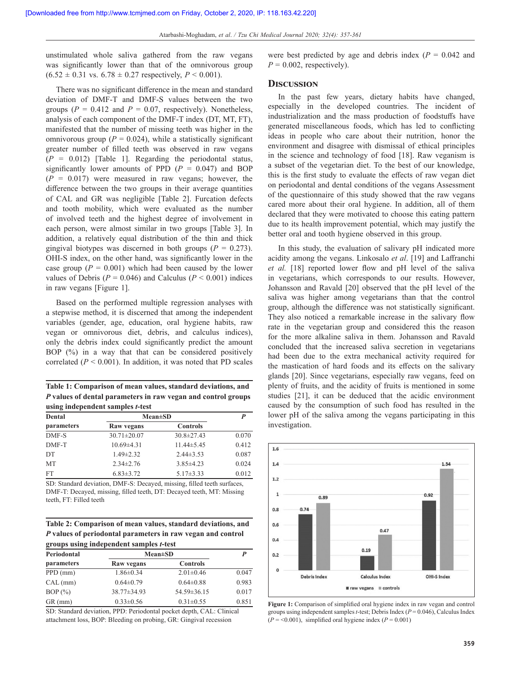unstimulated whole saliva gathered from the raw vegans was significantly lower than that of the omnivorous group  $(6.52 \pm 0.31 \text{ vs. } 6.78 \pm 0.27 \text{ respectively, } P \leq 0.001).$ 

There was no significant difference in the mean and standard deviation of DMF-T and DMF-S values between the two groups ( $P = 0.412$  and  $P = 0.07$ , respectively). Nonetheless, analysis of each component of the DMF-T index (DT, MT, FT), manifested that the number of missing teeth was higher in the omnivorous group ( $P = 0.024$ ), while a statistically significant greater number of filled teeth was observed in raw vegans  $(P = 0.012)$  [Table 1]. Regarding the periodontal status, significantly lower amounts of PPD  $(P = 0.047)$  and BOP  $(P = 0.017)$  were measured in raw vegans; however, the difference between the two groups in their average quantities of CAL and GR was negligible [Table 2]. Furcation defects and tooth mobility, which were evaluated as the number of involved teeth and the highest degree of involvement in each person, were almost similar in two groups [Table 3]. In addition, a relatively equal distribution of the thin and thick gingival biotypes was discerned in both groups  $(P = 0.273)$ . OHI-S index, on the other hand, was significantly lower in the case group  $(P = 0.001)$  which had been caused by the lower values of Debris ( $P = 0.046$ ) and Calculus ( $P < 0.001$ ) indices in raw vegans [Figure 1].

Based on the performed multiple regression analyses with a stepwise method, it is discerned that among the independent variables (gender, age, education, oral hygiene habits, raw vegan or omnivorous diet, debris, and calculus indices), only the debris index could significantly predict the amount BOP (%) in a way that that can be considered positively correlated  $(P < 0.001)$ . In addition, it was noted that PD scales

**Table 1: Comparison of mean values, standard deviations, and** *P* **values of dental parameters in raw vegan and control groups using independent samples** *t***-test**

| Dental<br>parameters | $Mean \pm SD$     | P                |       |
|----------------------|-------------------|------------------|-------|
|                      | Raw vegans        | <b>Controls</b>  |       |
| DMF-S                | $30.71 \pm 20.07$ | $30.8 \pm 27.43$ | 0.070 |
| DMF-T                | $10.69{\pm}4.31$  | $11.44 \pm 5.45$ | 0.412 |
| DT                   | $1.49 \pm 2.32$   | $2.44\pm3.53$    | 0.087 |
| <b>MT</b>            | $2.34 \pm 2.76$   | $3.85 \pm 4.23$  | 0.024 |
| <b>FT</b>            | $6.83 \pm 3.72$   | $5.17 \pm 3.33$  | 0.012 |

SD: Standard deviation, DMF‑S: Decayed, missing, filled teeth surfaces, DMF‑T: Decayed, missing, filled teeth, DT: Decayed teeth, MT: Missing teeth, FT: Filled teeth

**Table 2: Comparison of mean values, standard deviations, and**  *P* **values of periodontal parameters in raw vegan and control groups using independent samples** *t***-test**

| Periodontal | $Mean \pm SD$   | P               |       |
|-------------|-----------------|-----------------|-------|
| parameters  | Raw vegans      | <b>Controls</b> |       |
| $PPD$ (mm)  | $1.86 \pm 0.34$ | $2.01 \pm 0.46$ | 0.047 |
| CAL (mm)    | $0.64 \pm 0.79$ | $0.64 \pm 0.88$ | 0.983 |
| BOP(%)      | 38.77±34.93     | 54.59±36.15     | 0.017 |
| $GR$ (mm)   | $0.33 \pm 0.56$ | $0.31 \pm 0.55$ | 0.851 |

SD: Standard deviation, PPD: Periodontal pocket depth, CAL: Clinical attachment loss, BOP: Bleeding on probing, GR: Gingival recession

were best predicted by age and debris index  $(P = 0.042$  and  $P = 0.002$ , respectively).

# **Discussion**

In the past few years, dietary habits have changed, especially in the developed countries. The incident of industrialization and the mass production of foodstuffs have generated miscellaneous foods, which has led to conflicting ideas in people who care about their nutrition, honor the environment and disagree with dismissal of ethical principles in the science and technology of food [18]. Raw veganism is a subset of the vegetarian diet. To the best of our knowledge, this is the first study to evaluate the effects of raw vegan diet on periodontal and dental conditions of the vegans Assessment of the questionnaire of this study showed that the raw vegans cared more about their oral hygiene. In addition, all of them declared that they were motivated to choose this eating pattern due to its health improvement potential, which may justify the better oral and tooth hygiene observed in this group.

In this study, the evaluation of salivary pH indicated more acidity among the vegans. Linkosalo *et al*. [19] and Laffranchi *et al.* [18] reported lower flow and pH level of the saliva in vegetarians, which corresponds to our results. However, Johansson and Ravald [20] observed that the pH level of the saliva was higher among vegetarians than that the control group, although the difference was not statistically significant. They also noticed a remarkable increase in the salivary flow rate in the vegetarian group and considered this the reason for the more alkaline saliva in them. Johansson and Ravald concluded that the increased saliva secretion in vegetarians had been due to the extra mechanical activity required for the mastication of hard foods and its effects on the salivary glands [20]. Since vegetarians, especially raw vegans, feed on plenty of fruits, and the acidity of fruits is mentioned in some studies [21], it can be deduced that the acidic environment caused by the consumption of such food has resulted in the lower pH of the saliva among the vegans participating in this investigation.



**Figure 1:** Comparison of simplified oral hygiene index in raw vegan and control groups using independent samples *t*-test; Debris Index (*P* = 0.046), Calculus Index  $(P = 0.001)$ , simplified oral hygiene index  $(P = 0.001)$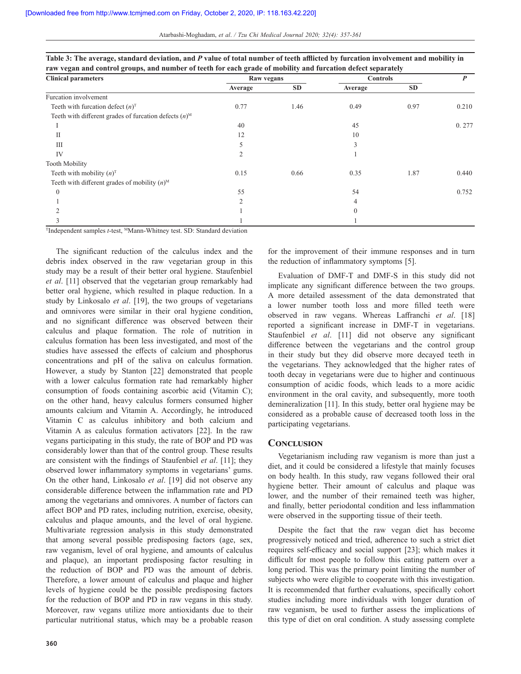| <b>Clinical parameters</b>                                          | Raw vegans |           | <b>Controls</b> |           | P     |
|---------------------------------------------------------------------|------------|-----------|-----------------|-----------|-------|
|                                                                     | Average    | <b>SD</b> | Average         | <b>SD</b> |       |
| Furcation involvement                                               |            |           |                 |           |       |
| Teeth with furcation defect $(n)^T$                                 | 0.77       | 1.46      | 0.49            | 0.97      | 0.210 |
| Teeth with different grades of furcation defects $(n)$ <sup>M</sup> |            |           |                 |           |       |
|                                                                     | 40         |           | 45              |           | 0.277 |
| П                                                                   | 12         |           | 10              |           |       |
| Ш                                                                   |            |           | 3               |           |       |
| IV                                                                  | 2          |           |                 |           |       |
| <b>Tooth Mobility</b>                                               |            |           |                 |           |       |
| Teeth with mobility $(n)^T$                                         | 0.15       | 0.66      | 0.35            | 1.87      | 0.440 |
| Teeth with different grades of mobility $(n)$ <sup>M</sup>          |            |           |                 |           |       |
| $\Omega$                                                            | 55         |           | 54              |           | 0.752 |
|                                                                     | C          |           |                 |           |       |
|                                                                     |            |           | 0               |           |       |
|                                                                     |            |           |                 |           |       |

| Table 3: The average, standard deviation, and P value of total number of teeth afflicted by furcation involvement and mobility in |
|-----------------------------------------------------------------------------------------------------------------------------------|
| raw vegan and control groups, and number of teeth for each grade of mobility and furcation defect separately                      |

TIndependent samples *t*-test, MMann-Whitney test. SD: Standard deviation

The significant reduction of the calculus index and the debris index observed in the raw vegetarian group in this study may be a result of their better oral hygiene. Staufenbiel *et al*. [11] observed that the vegetarian group remarkably had better oral hygiene, which resulted in plaque reduction. In a study by Linkosalo *et al*. [19], the two groups of vegetarians and omnivores were similar in their oral hygiene condition, and no significant difference was observed between their calculus and plaque formation. The role of nutrition in calculus formation has been less investigated, and most of the studies have assessed the effects of calcium and phosphorus concentrations and pH of the saliva on calculus formation. However, a study by Stanton [22] demonstrated that people with a lower calculus formation rate had remarkably higher consumption of foods containing ascorbic acid (Vitamin C); on the other hand, heavy calculus formers consumed higher amounts calcium and Vitamin A. Accordingly, he introduced Vitamin C as calculus inhibitory and both calcium and Vitamin A as calculus formation activators [22]. In the raw vegans participating in this study, the rate of BOP and PD was considerably lower than that of the control group. These results are consistent with the findings of Staufenbiel *et al*. [11]; they observed lower inflammatory symptoms in vegetarians' gums. On the other hand, Linkosalo *et al*. [19] did not observe any considerable difference between the inflammation rate and PD among the vegetarians and omnivores. A number of factors can affect BOP and PD rates, including nutrition, exercise, obesity, calculus and plaque amounts, and the level of oral hygiene. Multivariate regression analysis in this study demonstrated that among several possible predisposing factors (age, sex, raw veganism, level of oral hygiene, and amounts of calculus and plaque), an important predisposing factor resulting in the reduction of BOP and PD was the amount of debris. Therefore, a lower amount of calculus and plaque and higher levels of hygiene could be the possible predisposing factors for the reduction of BOP and PD in raw vegans in this study. Moreover, raw vegans utilize more antioxidants due to their particular nutritional status, which may be a probable reason for the improvement of their immune responses and in turn the reduction of inflammatory symptoms [5].

Evaluation of DMF-T and DMF-S in this study did not implicate any significant difference between the two groups. A more detailed assessment of the data demonstrated that a lower number tooth loss and more filled teeth were observed in raw vegans. Whereas Laffranchi *et al*. [18] reported a significant increase in DMF‑T in vegetarians. Staufenbiel *et al*. [11] did not observe any significant difference between the vegetarians and the control group in their study but they did observe more decayed teeth in the vegetarians. They acknowledged that the higher rates of tooth decay in vegetarians were due to higher and continuous consumption of acidic foods, which leads to a more acidic environment in the oral cavity, and subsequently, more tooth demineralization [11]. In this study, better oral hygiene may be considered as a probable cause of decreased tooth loss in the participating vegetarians.

## **Conclusion**

Vegetarianism including raw veganism is more than just a diet, and it could be considered a lifestyle that mainly focuses on body health. In this study, raw vegans followed their oral hygiene better. Their amount of calculus and plaque was lower, and the number of their remained teeth was higher, and finally, better periodontal condition and less inflammation were observed in the supporting tissue of their teeth.

Despite the fact that the raw vegan diet has become progressively noticed and tried, adherence to such a strict diet requires self-efficacy and social support [23]; which makes it difficult for most people to follow this eating pattern over a long period. This was the primary point limiting the number of subjects who were eligible to cooperate with this investigation. It is recommended that further evaluations, specifically cohort studies including more individuals with longer duration of raw veganism, be used to further assess the implications of this type of diet on oral condition. A study assessing complete